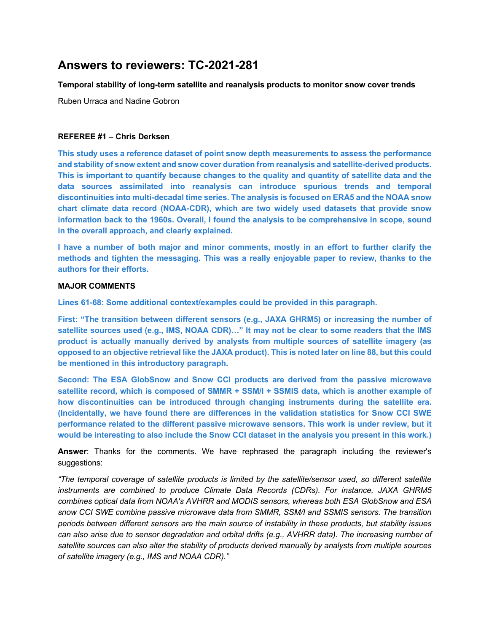# **Answers to reviewers: TC-2021-281**

#### **Temporal stability of long-term satellite and reanalysis products to monitor snow cover trends**

Ruben Urraca and Nadine Gobron

#### **REFEREE #1 – Chris Derksen**

**This study uses a reference dataset of point snow depth measurements to assess the performance and stability of snow extent and snow cover duration from reanalysis and satellite-derived products. This is important to quantify because changes to the quality and quantity of satellite data and the data sources assimilated into reanalysis can introduce spurious trends and temporal discontinuities into multi-decadal time series. The analysis is focused on ERA5 and the NOAA snow chart climate data record (NOAA-CDR), which are two widely used datasets that provide snow information back to the 1960s. Overall, I found the analysis to be comprehensive in scope, sound in the overall approach, and clearly explained.**

**I have a number of both major and minor comments, mostly in an effort to further clarify the methods and tighten the messaging. This was a really enjoyable paper to review, thanks to the authors for their efforts.**

### **MAJOR COMMENTS**

**Lines 61-68: Some additional context/examples could be provided in this paragraph.**

**First: "The transition between different sensors (e.g., JAXA GHRM5) or increasing the number of satellite sources used (e.g., IMS, NOAA CDR)…" It may not be clear to some readers that the IMS product is actually manually derived by analysts from multiple sources of satellite imagery (as opposed to an objective retrieval like the JAXA product). This is noted later on line 88, but this could be mentioned in this introductory paragraph.**

**Second: The ESA GlobSnow and Snow CCI products are derived from the passive microwave satellite record, which is composed of SMMR + SSM/I + SSMIS data, which is another example of how discontinuities can be introduced through changing instruments during the satellite era. (Incidentally, we have found there are differences in the validation statistics for Snow CCI SWE performance related to the different passive microwave sensors. This work is under review, but it would be interesting to also include the Snow CCI dataset in the analysis you present in this work.)**

**Answer**: Thanks for the comments. We have rephrased the paragraph including the reviewer's suggestions:

*"The temporal coverage of satellite products is limited by the satellite/sensor used, so different satellite instruments are combined to produce Climate Data Records (CDRs). For instance, JAXA GHRM5 combines optical data from NOAA's AVHRR and MODIS sensors, whereas both ESA GlobSnow and ESA snow CCI SWE combine passive microwave data from SMMR, SSM/I and SSMIS sensors. The transition periods between different sensors are the main source of instability in these products, but stability issues can also arise due to sensor degradation and orbital drifts (e.g., AVHRR data). The increasing number of satellite sources can also alter the stability of products derived manually by analysts from multiple sources of satellite imagery (e.g., IMS and NOAA CDR)."*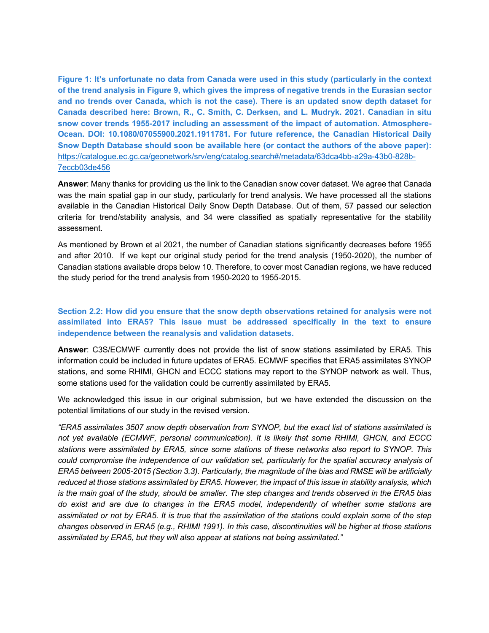**Figure 1: It's unfortunate no data from Canada were used in this study (particularly in the context of the trend analysis in Figure 9, which gives the impress of negative trends in the Eurasian sector and no trends over Canada, which is not the case). There is an updated snow depth dataset for Canada described here: Brown, R., C. Smith, C. Derksen, and L. Mudryk. 2021. Canadian in situ snow cover trends 1955-2017 including an assessment of the impact of automation. Atmosphere-Ocean. DOI: 10.1080/07055900.2021.1911781. For future reference, the Canadian Historical Daily Snow Depth Database should soon be available here (or contact the authors of the above paper):**  https://catalogue.ec.gc.ca/geonetwork/srv/eng/catalog.search#/metadata/63dca4bb-a29a-43b0-828b-7eccb03de456

**Answer**: Many thanks for providing us the link to the Canadian snow cover dataset. We agree that Canada was the main spatial gap in our study, particularly for trend analysis. We have processed all the stations available in the Canadian Historical Daily Snow Depth Database. Out of them, 57 passed our selection criteria for trend/stability analysis, and 34 were classified as spatially representative for the stability assessment.

As mentioned by Brown et al 2021, the number of Canadian stations significantly decreases before 1955 and after 2010. If we kept our original study period for the trend analysis (1950-2020), the number of Canadian stations available drops below 10. Therefore, to cover most Canadian regions, we have reduced the study period for the trend analysis from 1950-2020 to 1955-2015.

## **Section 2.2: How did you ensure that the snow depth observations retained for analysis were not assimilated into ERA5? This issue must be addressed specifically in the text to ensure independence between the reanalysis and validation datasets.**

**Answer**: C3S/ECMWF currently does not provide the list of snow stations assimilated by ERA5. This information could be included in future updates of ERA5. ECMWF specifies that ERA5 assimilates SYNOP stations, and some RHIMI, GHCN and ECCC stations may report to the SYNOP network as well. Thus, some stations used for the validation could be currently assimilated by ERA5.

We acknowledged this issue in our original submission, but we have extended the discussion on the potential limitations of our study in the revised version.

*"ERA5 assimilates 3507 snow depth observation from SYNOP, but the exact list of stations assimilated is not yet available (ECMWF, personal communication). It is likely that some RHIMI, GHCN, and ECCC stations were assimilated by ERA5, since some stations of these networks also report to SYNOP. This could compromise the independence of our validation set, particularly for the spatial accuracy analysis of ERA5 between 2005-2015 (Section 3.3). Particularly, the magnitude of the bias and RMSE will be artificially reduced at those stations assimilated by ERA5. However, the impact of this issue in stability analysis, which is the main goal of the study, should be smaller. The step changes and trends observed in the ERA5 bias do exist and are due to changes in the ERA5 model, independently of whether some stations are assimilated or not by ERA5. It is true that the assimilation of the stations could explain some of the step changes observed in ERA5 (e.g., RHIMI 1991). In this case, discontinuities will be higher at those stations assimilated by ERA5, but they will also appear at stations not being assimilated."*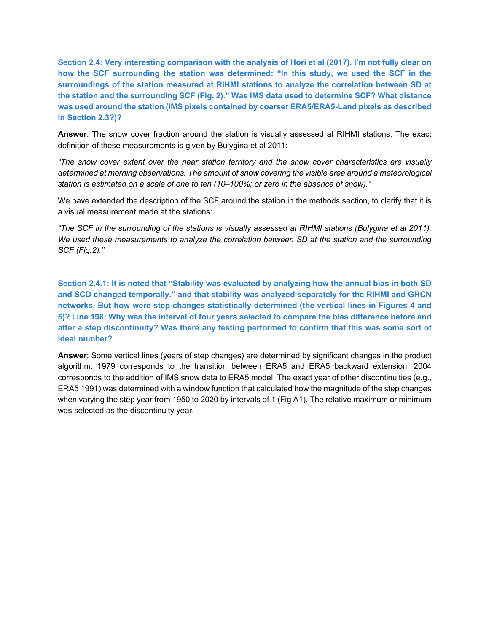**Section 2.4: Very interesting comparison with the analysis of Hori et al (2017). I'm not fully clear on how the SCF surrounding the station was determined: "In this study, we used the SCF in the surroundings of the station measured at RIHMI stations to analyze the correlation between SD at the station and the surrounding SCF (Fig. 2)." Was IMS data used to determine SCF? What distance was used around the station (IMS pixels contained by coarser ERA5/ERA5-Land pixels as described in Section 2.3?)?**

**Answer**: The snow cover fraction around the station is visually assessed at RIHMI stations. The exact definition of these measurements is given by Bulygina et al 2011:

*"The snow cover extent over the near station territory and the snow cover characteristics are visually determined at morning observations. The amount of snow covering the visible area around a meteorological station is estimated on a scale of one to ten (10–100%; or zero in the absence of snow)."*

We have extended the description of the SCF around the station in the methods section, to clarify that it is a visual measurement made at the stations:

*"The SCF in the surrounding of the stations is visually assessed at RIHMI stations (Bulygina et al 2011). We used these measurements to analyze the correlation between SD at the station and the surrounding SCF (Fig.2)."*

**Section 2.4.1: It is noted that "Stability was evaluated by analyzing how the annual bias in both SD and SCD changed temporally." and that stability was analyzed separately for the RIHMI and GHCN networks. But how were step changes statistically determined (the vertical lines in Figures 4 and 5)? Line 198: Why was the interval of four years selected to compare the bias difference before and after a step discontinuity? Was there any testing performed to confirm that this was some sort of ideal number?**

**Answer**: Some vertical lines (years of step changes) are determined by significant changes in the product algorithm: 1979 corresponds to the transition between ERA5 and ERA5 backward extension, 2004 corresponds to the addition of IMS snow data to ERA5 model. The exact year of other discontinuities (e.g., ERA5 1991) was determined with a window function that calculated how the magnitude of the step changes when varying the step year from 1950 to 2020 by intervals of 1 (Fig A1). The relative maximum or minimum was selected as the discontinuity year.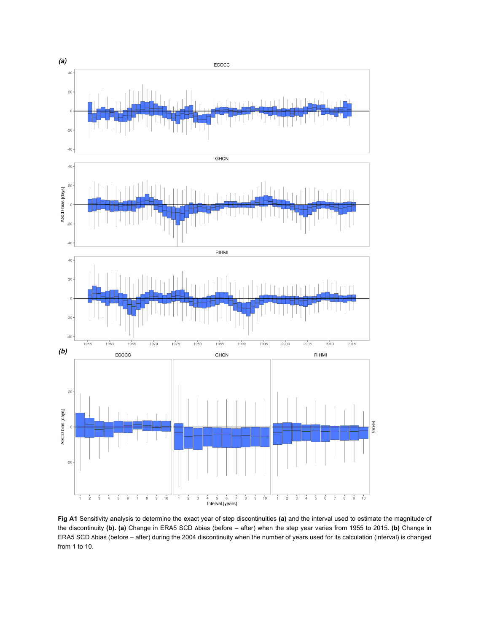

**Fig A1** Sensitivity analysis to determine the exact year of step discontinuities **(a)** and the interval used to estimate the magnitude of the discontinuity **(b). (a)** Change in ERA5 SCD Δbias (before – after) when the step year varies from 1955 to 2015. **(b)** Change in ERA5 SCD Δbias (before – after) during the 2004 discontinuity when the number of years used for its calculation (interval) is changed from 1 to 10.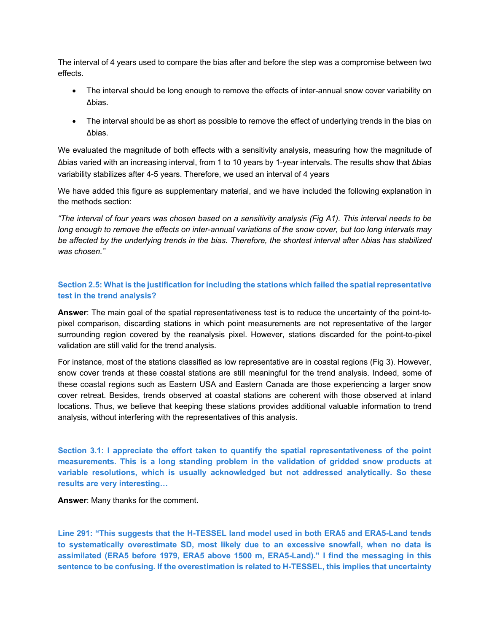The interval of 4 years used to compare the bias after and before the step was a compromise between two effects.

- The interval should be long enough to remove the effects of inter-annual snow cover variability on Δbias.
- The interval should be as short as possible to remove the effect of underlying trends in the bias on Δbias.

We evaluated the magnitude of both effects with a sensitivity analysis, measuring how the magnitude of Δbias varied with an increasing interval, from 1 to 10 years by 1-year intervals. The results show that Δbias variability stabilizes after 4-5 years. Therefore, we used an interval of 4 years

We have added this figure as supplementary material, and we have included the following explanation in the methods section:

*"The interval of four years was chosen based on a sensitivity analysis (Fig A1). This interval needs to be long enough to remove the effects on inter-annual variations of the snow cover, but too long intervals may be affected by the underlying trends in the bias. Therefore, the shortest interval after ∆bias has stabilized was chosen."*

## **Section 2.5: What is the justification for including the stations which failed the spatial representative test in the trend analysis?**

**Answer**: The main goal of the spatial representativeness test is to reduce the uncertainty of the point-topixel comparison, discarding stations in which point measurements are not representative of the larger surrounding region covered by the reanalysis pixel. However, stations discarded for the point-to-pixel validation are still valid for the trend analysis.

For instance, most of the stations classified as low representative are in coastal regions (Fig 3). However, snow cover trends at these coastal stations are still meaningful for the trend analysis. Indeed, some of these coastal regions such as Eastern USA and Eastern Canada are those experiencing a larger snow cover retreat. Besides, trends observed at coastal stations are coherent with those observed at inland locations. Thus, we believe that keeping these stations provides additional valuable information to trend analysis, without interfering with the representatives of this analysis.

**Section 3.1: I appreciate the effort taken to quantify the spatial representativeness of the point measurements. This is a long standing problem in the validation of gridded snow products at variable resolutions, which is usually acknowledged but not addressed analytically. So these results are very interesting…**

**Answer**: Many thanks for the comment.

**Line 291: "This suggests that the H-TESSEL land model used in both ERA5 and ERA5-Land tends to systematically overestimate SD, most likely due to an excessive snowfall, when no data is assimilated (ERA5 before 1979, ERA5 above 1500 m, ERA5-Land)." I find the messaging in this sentence to be confusing. If the overestimation is related to H-TESSEL, this implies that uncertainty**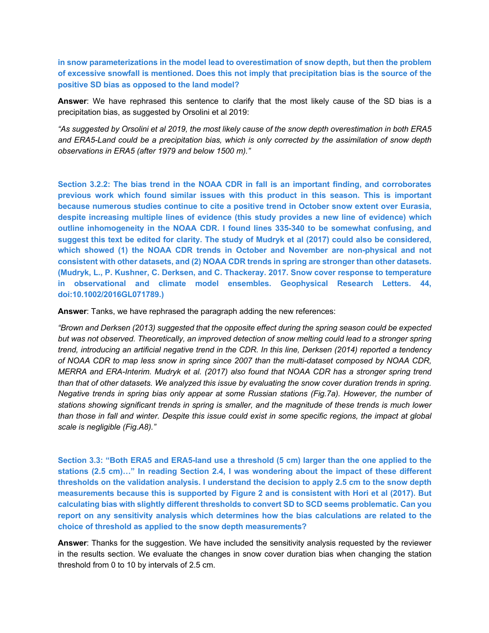**in snow parameterizations in the model lead to overestimation of snow depth, but then the problem of excessive snowfall is mentioned. Does this not imply that precipitation bias is the source of the positive SD bias as opposed to the land model?**

**Answer**: We have rephrased this sentence to clarify that the most likely cause of the SD bias is a precipitation bias, as suggested by Orsolini et al 2019:

*"As suggested by Orsolini et al 2019, the most likely cause of the snow depth overestimation in both ERA5 and ERA5-Land could be a precipitation bias, which is only corrected by the assimilation of snow depth observations in ERA5 (after 1979 and below 1500 m)."*

**Section 3.2.2: The bias trend in the NOAA CDR in fall is an important finding, and corroborates previous work which found similar issues with this product in this season. This is important because numerous studies continue to cite a positive trend in October snow extent over Eurasia, despite increasing multiple lines of evidence (this study provides a new line of evidence) which outline inhomogeneity in the NOAA CDR. I found lines 335-340 to be somewhat confusing, and suggest this text be edited for clarity. The study of Mudryk et al (2017) could also be considered, which showed (1) the NOAA CDR trends in October and November are non-physical and not consistent with other datasets, and (2) NOAA CDR trends in spring are stronger than other datasets. (Mudryk, L., P. Kushner, C. Derksen, and C. Thackeray. 2017. Snow cover response to temperature in observational and climate model ensembles. Geophysical Research Letters. 44, doi:10.1002/2016GL071789.)**

**Answer**: Tanks, we have rephrased the paragraph adding the new references:

*"Brown and Derksen (2013) suggested that the opposite effect during the spring season could be expected but was not observed. Theoretically, an improved detection of snow melting could lead to a stronger spring trend, introducing an artificial negative trend in the CDR. In this line, Derksen (2014) reported a tendency of NOAA CDR to map less snow in spring since 2007 than the multi-dataset composed by NOAA CDR, MERRA and ERA-Interim. Mudryk et al. (2017) also found that NOAA CDR has a stronger spring trend than that of other datasets. We analyzed this issue by evaluating the snow cover duration trends in spring. Negative trends in spring bias only appear at some Russian stations (Fig.7a). However, the number of stations showing significant trends in spring is smaller, and the magnitude of these trends is much lower than those in fall and winter. Despite this issue could exist in some specific regions, the impact at global scale is negligible (Fig.A8)."*

**Section 3.3: "Both ERA5 and ERA5-land use a threshold (5 cm) larger than the one applied to the stations (2.5 cm)…" In reading Section 2.4, I was wondering about the impact of these different thresholds on the validation analysis. I understand the decision to apply 2.5 cm to the snow depth measurements because this is supported by Figure 2 and is consistent with Hori et al (2017). But calculating bias with slightly different thresholds to convert SD to SCD seems problematic. Can you report on any sensitivity analysis which determines how the bias calculations are related to the choice of threshold as applied to the snow depth measurements?**

**Answer**: Thanks for the suggestion. We have included the sensitivity analysis requested by the reviewer in the results section. We evaluate the changes in snow cover duration bias when changing the station threshold from 0 to 10 by intervals of 2.5 cm.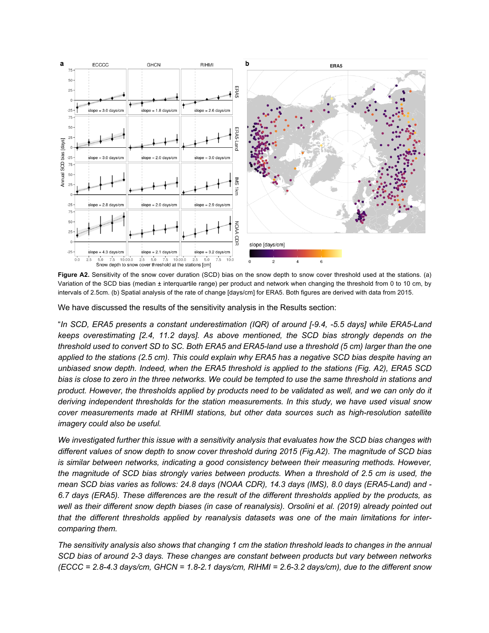

**Figure A2.** Sensitivity of the snow cover duration (SCD) bias on the snow depth to snow cover threshold used at the stations. (a) Variation of the SCD bias (median ± interquartile range) per product and network when changing the threshold from 0 to 10 cm, by intervals of 2.5cm. (b) Spatial analysis of the rate of change [days/cm] for ERA5. Both figures are derived with data from 2015.

We have discussed the results of the sensitivity analysis in the Results section:

"*In SCD, ERA5 presents a constant underestimation (IQR) of around [-9.4, -5.5 days] while ERA5-Land keeps overestimating [2.4, 11.2 days]. As above mentioned, the SCD bias strongly depends on the threshold used to convert SD to SC. Both ERA5 and ERA5-land use a threshold (5 cm) larger than the one applied to the stations (2.5 cm). This could explain why ERA5 has a negative SCD bias despite having an unbiased snow depth. Indeed, when the ERA5 threshold is applied to the stations (Fig. A2), ERA5 SCD bias is close to zero in the three networks. We could be tempted to use the same threshold in stations and product. However, the thresholds applied by products need to be validated as well, and we can only do it deriving independent thresholds for the station measurements. In this study, we have used visual snow cover measurements made at RHIMI stations, but other data sources such as high-resolution satellite imagery could also be useful.* 

*We investigated further this issue with a sensitivity analysis that evaluates how the SCD bias changes with different values of snow depth to snow cover threshold during 2015 (Fig.A2). The magnitude of SCD bias is similar between networks, indicating a good consistency between their measuring methods. However, the magnitude of SCD bias strongly varies between products. When a threshold of 2.5 cm is used, the mean SCD bias varies as follows: 24.8 days (NOAA CDR), 14.3 days (IMS), 8.0 days (ERA5-Land) and - 6.7 days (ERA5). These differences are the result of the different thresholds applied by the products, as*  well as their different snow depth biases (in case of reanalysis). Orsolini et al. (2019) already pointed out *that the different thresholds applied by reanalysis datasets was one of the main limitations for intercomparing them.*

*The sensitivity analysis also shows that changing 1 cm the station threshold leads to changes in the annual SCD bias of around 2-3 days. These changes are constant between products but vary between networks (ECCC = 2.8-4.3 days/cm, GHCN = 1.8-2.1 days/cm, RIHMI = 2.6-3.2 days/cm), due to the different snow*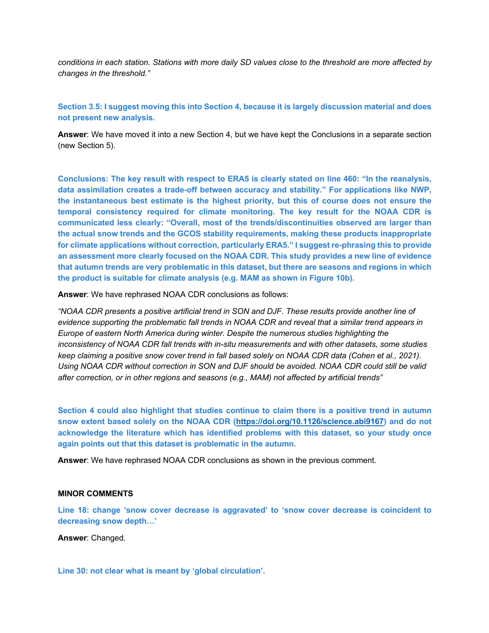*conditions in each station. Stations with more daily SD values close to the threshold are more affected by changes in the threshold."*

**Section 3.5: I suggest moving this into Section 4, because it is largely discussion material and does not present new analysis.**

**Answer**: We have moved it into a new Section 4, but we have kept the Conclusions in a separate section (new Section 5).

**Conclusions: The key result with respect to ERA5 is clearly stated on line 460: "In the reanalysis, data assimilation creates a trade-off between accuracy and stability." For applications like NWP, the instantaneous best estimate is the highest priority, but this of course does not ensure the temporal consistency required for climate monitoring. The key result for the NOAA CDR is communicated less clearly: "Overall, most of the trends/discontinuities observed are larger than the actual snow trends and the GCOS stability requirements, making these products inappropriate for climate applications without correction, particularly ERA5." I suggest re-phrasing this to provide an assessment more clearly focused on the NOAA CDR. This study provides a new line of evidence that autumn trends are very problematic in this dataset, but there are seasons and regions in which the product is suitable for climate analysis (e.g. MAM as shown in Figure 10b).**

**Answer**: We have rephrased NOAA CDR conclusions as follows:

*"NOAA CDR presents a positive artificial trend in SON and DJF. These results provide another line of evidence supporting the problematic fall trends in NOAA CDR and reveal that a similar trend appears in Europe of eastern North America during winter. Despite the numerous studies highlighting the inconsistency of NOAA CDR fall trends with in-situ measurements and with other datasets, some studies keep claiming a positive snow cover trend in fall based solely on NOAA CDR data (Cohen et al., 2021). Using NOAA CDR without correction in SON and DJF should be avoided. NOAA CDR could still be valid after correction, or in other regions and seasons (e.g., MAM) not affected by artificial trends"*

**Section 4 could also highlight that studies continue to claim there is a positive trend in autumn snow extent based solely on the NOAA CDR (https://doi.org/10.1126/science.abi9167) and do not acknowledge the literature which has identified problems with this dataset, so your study once again points out that this dataset is problematic in the autumn.**

**Answer**: We have rephrased NOAA CDR conclusions as shown in the previous comment.

#### **MINOR COMMENTS**

**Line 18: change 'snow cover decrease is aggravated' to 'snow cover decrease is coincident to decreasing snow depth…'**

**Answer**: Changed.

**Line 30: not clear what is meant by 'global circulation'.**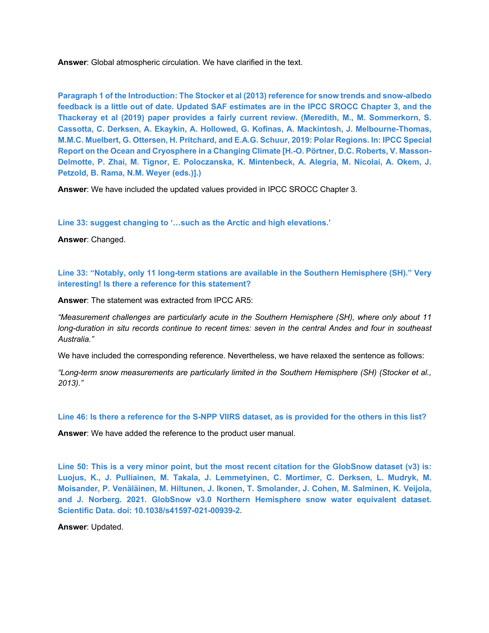**Answer**: Global atmospheric circulation. We have clarified in the text.

**Paragraph 1 of the Introduction: The Stocker et al (2013) reference for snow trends and snow-albedo feedback is a little out of date. Updated SAF estimates are in the IPCC SROCC Chapter 3, and the Thackeray et al (2019) paper provides a fairly current review. (Meredith, M., M. Sommerkorn, S. Cassotta, C. Derksen, A. Ekaykin, A. Hollowed, G. Kofinas, A. Mackintosh, J. Melbourne-Thomas, M.M.C. Muelbert, G. Ottersen, H. Pritchard, and E.A.G. Schuur, 2019: Polar Regions. In: IPCC Special Report on the Ocean and Cryosphere in a Changing Climate [H.-O. Pörtner, D.C. Roberts, V. Masson-Delmotte, P. Zhai, M. Tignor, E. Poloczanska, K. Mintenbeck, A. Alegría, M. Nicolai, A. Okem, J. Petzold, B. Rama, N.M. Weyer (eds.)].)**

**Answer**: We have included the updated values provided in IPCC SROCC Chapter 3.

**Line 33: suggest changing to '…such as the Arctic and high elevations.'**

**Answer**: Changed.

**Line 33: "Notably, only 11 long-term stations are available in the Southern Hemisphere (SH)." Very interesting! Is there a reference for this statement?**

**Answer**: The statement was extracted from IPCC AR5:

*"Measurement challenges are particularly acute in the Southern Hemisphere (SH), where only about 11 long-duration in situ records continue to recent times: seven in the central Andes and four in southeast Australia."*

We have included the corresponding reference. Nevertheless, we have relaxed the sentence as follows:

*"Long-term snow measurements are particularly limited in the Southern Hemisphere (SH) (Stocker et al., 2013)."*

**Line 46: Is there a reference for the S-NPP VIIRS dataset, as is provided for the others in this list?**

**Answer**: We have added the reference to the product user manual.

**Line 50: This is a very minor point, but the most recent citation for the GlobSnow dataset (v3) is: Luojus, K., J. Pulliainen, M. Takala, J. Lemmetyinen, C. Mortimer, C. Derksen, L. Mudryk, M. Moisander, P. Venäläinen, M. Hiltunen, J. Ikonen, T. Smolander, J. Cohen, M. Salminen, K. Veijola, and J. Norberg. 2021. GlobSnow v3.0 Northern Hemisphere snow water equivalent dataset. Scientific Data. doi: 10.1038/s41597-021-00939-2.**

**Answer**: Updated.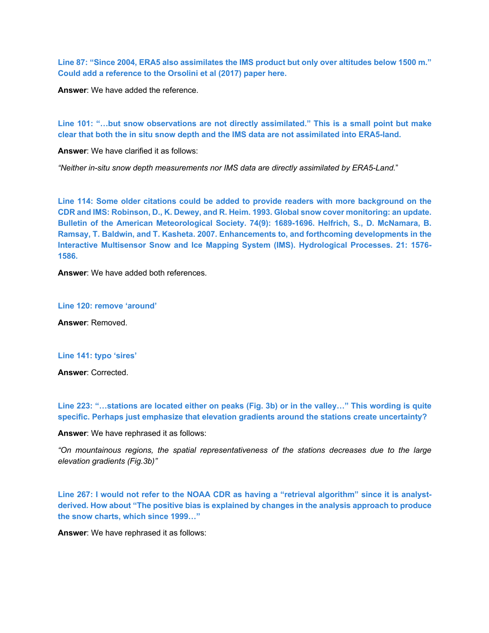**Line 87: "Since 2004, ERA5 also assimilates the IMS product but only over altitudes below 1500 m." Could add a reference to the Orsolini et al (2017) paper here.**

**Answer**: We have added the reference.

**Line 101: "…but snow observations are not directly assimilated." This is a small point but make clear that both the in situ snow depth and the IMS data are not assimilated into ERA5-land.**

**Answer**: We have clarified it as follows:

*"Neither in-situ snow depth measurements nor IMS data are directly assimilated by ERA5-Land.*"

**Line 114: Some older citations could be added to provide readers with more background on the CDR and IMS: Robinson, D., K. Dewey, and R. Heim. 1993. Global snow cover monitoring: an update. Bulletin of the American Meteorological Society. 74(9): 1689-1696. Helfrich, S., D. McNamara, B. Ramsay, T. Baldwin, and T. Kasheta. 2007. Enhancements to, and forthcoming developments in the Interactive Multisensor Snow and Ice Mapping System (IMS). Hydrological Processes. 21: 1576- 1586.**

**Answer**: We have added both references.

#### **Line 120: remove 'around'**

**Answer**: Removed.

#### **Line 141: typo 'sires'**

**Answer**: Corrected.

**Line 223: "…stations are located either on peaks (Fig. 3b) or in the valley…" This wording is quite specific. Perhaps just emphasize that elevation gradients around the stations create uncertainty?**

**Answer**: We have rephrased it as follows:

*"On mountainous regions, the spatial representativeness of the stations decreases due to the large elevation gradients (Fig.3b)"*

**Line 267: I would not refer to the NOAA CDR as having a "retrieval algorithm" since it is analystderived. How about "The positive bias is explained by changes in the analysis approach to produce the snow charts, which since 1999…"**

**Answer**: We have rephrased it as follows: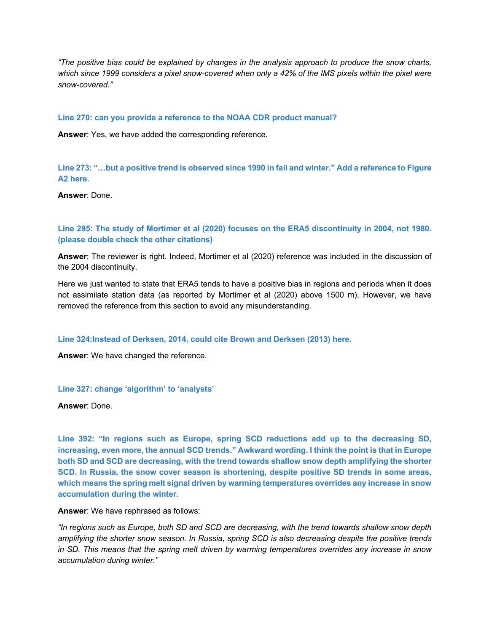*"The positive bias could be explained by changes in the analysis approach to produce the snow charts, which since 1999 considers a pixel snow-covered when only a 42% of the IMS pixels within the pixel were snow-covered."*

#### **Line 270: can you provide a reference to the NOAA CDR product manual?**

**Answer**: Yes, we have added the corresponding reference.

**Line 273: "…but a positive trend is observed since 1990 in fall and winter." Add a reference to Figure A2 here.**

**Answer**: Done.

**Line 285: The study of Mortimer et al (2020) focuses on the ERA5 discontinuity in 2004, not 1980. (please double check the other citations)**

**Answer**: The reviewer is right. Indeed, Mortimer et al (2020) reference was included in the discussion of the 2004 discontinuity.

Here we just wanted to state that ERA5 tends to have a positive bias in regions and periods when it does not assimilate station data (as reported by Mortimer et al (2020) above 1500 m). However, we have removed the reference from this section to avoid any misunderstanding.

**Line 324:Instead of Derksen, 2014, could cite Brown and Derksen (2013) here.**

**Answer**: We have changed the reference.

#### **Line 327: change 'algorithm' to 'analysts'**

**Answer**: Done.

**Line 392: "In regions such as Europe, spring SCD reductions add up to the decreasing SD, increasing, even more, the annual SCD trends." Awkward wording. I think the point is that in Europe both SD and SCD are decreasing, with the trend towards shallow snow depth amplifying the shorter SCD. In Russia, the snow cover season is shortening, despite positive SD trends in some areas, which means the spring melt signal driven by warming temperatures overrides any increase in snow accumulation during the winter.**

**Answer**: We have rephrased as follows:

*"In regions such as Europe, both SD and SCD are decreasing, with the trend towards shallow snow depth amplifying the shorter snow season. In Russia, spring SCD is also decreasing despite the positive trends in SD. This means that the spring melt driven by warming temperatures overrides any increase in snow accumulation during winter."*